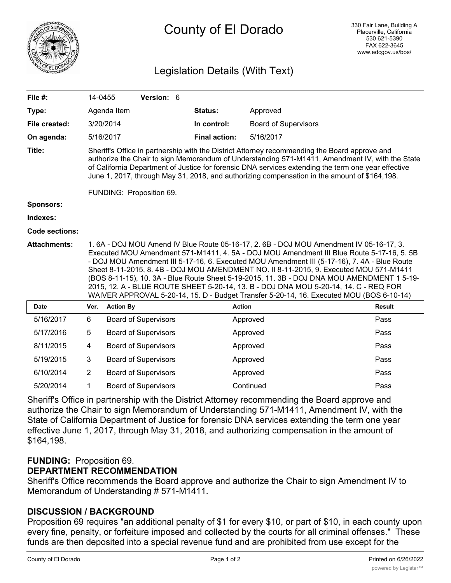

# County of El Dorado

# Legislation Details (With Text)

| File #:               |                                                                                                                                                                                                                                                                                                                                                                                                                                                                                                                                                                                                                                                               | 14-0455          | Version: 6                  |                      |                             |               |
|-----------------------|---------------------------------------------------------------------------------------------------------------------------------------------------------------------------------------------------------------------------------------------------------------------------------------------------------------------------------------------------------------------------------------------------------------------------------------------------------------------------------------------------------------------------------------------------------------------------------------------------------------------------------------------------------------|------------------|-----------------------------|----------------------|-----------------------------|---------------|
| Type:                 |                                                                                                                                                                                                                                                                                                                                                                                                                                                                                                                                                                                                                                                               | Agenda Item      |                             | Status:              | Approved                    |               |
| File created:         |                                                                                                                                                                                                                                                                                                                                                                                                                                                                                                                                                                                                                                                               | 3/20/2014        |                             | In control:          | <b>Board of Supervisors</b> |               |
| On agenda:            |                                                                                                                                                                                                                                                                                                                                                                                                                                                                                                                                                                                                                                                               | 5/16/2017        |                             | <b>Final action:</b> | 5/16/2017                   |               |
| Title:                | Sheriff's Office in partnership with the District Attorney recommending the Board approve and<br>authorize the Chair to sign Memorandum of Understanding 571-M1411, Amendment IV, with the State<br>of California Department of Justice for forensic DNA services extending the term one year effective<br>June 1, 2017, through May 31, 2018, and authorizing compensation in the amount of \$164,198.                                                                                                                                                                                                                                                       |                  |                             |                      |                             |               |
|                       | FUNDING: Proposition 69.                                                                                                                                                                                                                                                                                                                                                                                                                                                                                                                                                                                                                                      |                  |                             |                      |                             |               |
| <b>Sponsors:</b>      |                                                                                                                                                                                                                                                                                                                                                                                                                                                                                                                                                                                                                                                               |                  |                             |                      |                             |               |
| Indexes:              |                                                                                                                                                                                                                                                                                                                                                                                                                                                                                                                                                                                                                                                               |                  |                             |                      |                             |               |
| <b>Code sections:</b> |                                                                                                                                                                                                                                                                                                                                                                                                                                                                                                                                                                                                                                                               |                  |                             |                      |                             |               |
| <b>Attachments:</b>   | 1.6A - DOJ MOU Amend IV Blue Route 05-16-17, 2.6B - DOJ MOU Amendment IV 05-16-17, 3.<br>Executed MOU Amendment 571-M1411, 4. 5A - DOJ MOU Amendment III Blue Route 5-17-16, 5. 5B<br>- DOJ MOU Amendment III 5-17-16, 6. Executed MOU Amendment III (5-17-16), 7. 4A - Blue Route<br>Sheet 8-11-2015, 8.4B - DOJ MOU AMENDMENT NO. II 8-11-2015, 9. Executed MOU 571-M1411<br>(BOS 8-11-15), 10. 3A - Blue Route Sheet 5-19-2015, 11. 3B - DOJ DNA MOU AMENDMENT 1 5-19-<br>2015, 12. A - BLUE ROUTE SHEET 5-20-14, 13. B - DOJ DNA MOU 5-20-14, 14. C - REQ FOR<br>WAIVER APPROVAL 5-20-14, 15. D - Budget Transfer 5-20-14, 16. Executed MOU (BOS 6-10-14) |                  |                             |                      |                             |               |
| <b>Date</b>           | Ver.                                                                                                                                                                                                                                                                                                                                                                                                                                                                                                                                                                                                                                                          | <b>Action By</b> |                             |                      | <b>Action</b>               | <b>Result</b> |
| 5/16/2017             | 6                                                                                                                                                                                                                                                                                                                                                                                                                                                                                                                                                                                                                                                             |                  | <b>Board of Supervisors</b> |                      | Approved                    | Pass          |
| 5/17/2016             | 5                                                                                                                                                                                                                                                                                                                                                                                                                                                                                                                                                                                                                                                             |                  | <b>Board of Supervisors</b> |                      | Approved                    | Pass          |
| 8/11/2015             | 4                                                                                                                                                                                                                                                                                                                                                                                                                                                                                                                                                                                                                                                             |                  | <b>Board of Supervisors</b> |                      | Approved                    | Pass          |
| 5/19/2015             | 3                                                                                                                                                                                                                                                                                                                                                                                                                                                                                                                                                                                                                                                             |                  | <b>Board of Supervisors</b> |                      | Approved                    | Pass          |
| 6/10/2014             | $\overline{2}$                                                                                                                                                                                                                                                                                                                                                                                                                                                                                                                                                                                                                                                |                  | <b>Board of Supervisors</b> |                      | Approved                    | Pass          |
| 5/20/2014             | 1                                                                                                                                                                                                                                                                                                                                                                                                                                                                                                                                                                                                                                                             |                  | <b>Board of Supervisors</b> |                      | Continued                   | Pass          |

Sheriff's Office in partnership with the District Attorney recommending the Board approve and authorize the Chair to sign Memorandum of Understanding 571-M1411, Amendment IV, with the State of California Department of Justice for forensic DNA services extending the term one year effective June 1, 2017, through May 31, 2018, and authorizing compensation in the amount of \$164,198.

## **FUNDING:** Proposition 69.

## **DEPARTMENT RECOMMENDATION**

Sheriff's Office recommends the Board approve and authorize the Chair to sign Amendment IV to Memorandum of Understanding # 571-M1411.

### **DISCUSSION / BACKGROUND**

Proposition 69 requires "an additional penalty of \$1 for every \$10, or part of \$10, in each county upon every fine, penalty, or forfeiture imposed and collected by the courts for all criminal offenses." These funds are then deposited into a special revenue fund and are prohibited from use except for the